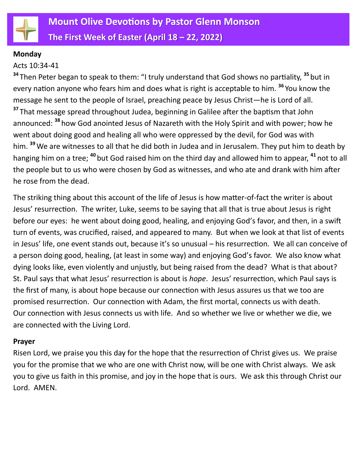

#### **Monday**

#### Acts 10:34-41

**<sup>34</sup>** Then Peter began to speak to them: "I truly understand that God shows no partiality, **<sup>35</sup>** but in every nation anyone who fears him and does what is right is acceptable to him. **<sup>36</sup>** You know the message he sent to the people of Israel, preaching peace by Jesus Christ—he is Lord of all. **<sup>37</sup>** That message spread throughout Judea, beginning in Galilee after the baptism that John announced: **<sup>38</sup>** how God anointed Jesus of Nazareth with the Holy Spirit and with power; how he went about doing good and healing all who were oppressed by the devil, for God was with him. **<sup>39</sup>**We are witnesses to all that he did both in Judea and in Jerusalem. They put him to death by hanging him on a tree; **<sup>40</sup>** but God raised him on the third day and allowed him to appear, **<sup>41</sup>** not to all the people but to us who were chosen by God as witnesses, and who ate and drank with him after he rose from the dead.

The striking thing about this account of the life of Jesus is how matter-of-fact the writer is about Jesus' resurrection. The writer, Luke, seems to be saying that all that is true about Jesus is right before our eyes: he went about doing good, healing, and enjoying God's favor, and then, in a swift turn of events, was crucified, raised, and appeared to many. But when we look at that list of events in Jesus' life, one event stands out, because it's so unusual – his resurrection. We all can conceive of a person doing good, healing, (at least in some way) and enjoying God's favor. We also know what dying looks like, even violently and unjustly, but being raised from the dead? What is that about? St. Paul says that what Jesus' resurrection is about is *hope*. Jesus' resurrection, which Paul says is the first of many, is about hope because our connection with Jesus assures us that we too are promised resurrection. Our connection with Adam, the first mortal, connects us with death. Our connection with Jesus connects us with life. And so whether we live or whether we die, we are connected with the Living Lord.

#### **Prayer**

Risen Lord, we praise you this day for the hope that the resurrection of Christ gives us. We praise you for the promise that we who are one with Christ now, will be one with Christ always. We ask you to give us faith in this promise, and joy in the hope that is ours. We ask this through Christ our Lord. AMEN.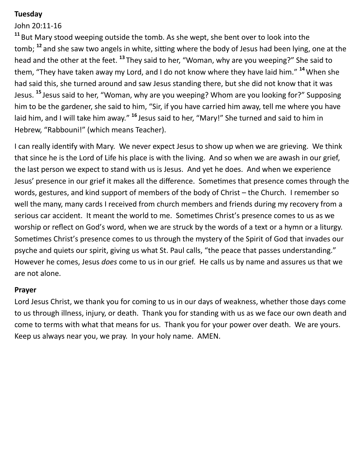## **Tuesday**

John 20:11-16

**<sup>11</sup>** But Mary stood weeping outside the tomb. As she wept, she bent over to look into the tomb; **<sup>12</sup>** and she saw two angels in white, sitting where the body of Jesus had been lying, one at the head and the other at the feet. **<sup>13</sup>** They said to her, "Woman, why are you weeping?" She said to them, "They have taken away my Lord, and I do not know where they have laid him." **<sup>14</sup>**When she had said this, she turned around and saw Jesus standing there, but she did not know that it was Jesus. **<sup>15</sup>** Jesus said to her, "Woman, why are you weeping? Whom are you looking for?" Supposing him to be the gardener, she said to him, "Sir, if you have carried him away, tell me where you have laid him, and I will take him away." <sup>16</sup> Jesus said to her, "Mary!" She turned and said to him in Hebrew, "Rabbouni!" (which means Teacher).

I can really identify with Mary. We never expect Jesus to show up when we are grieving. We think that since he is the Lord of Life his place is with the living. And so when we are awash in our grief, the last person we expect to stand with us is Jesus. And yet he does. And when we experience Jesus' presence in our grief it makes all the difference. Sometimes that presence comes through the words, gestures, and kind support of members of the body of Christ – the Church. I remember so well the many, many cards I received from church members and friends during my recovery from a serious car accident. It meant the world to me. Sometimes Christ's presence comes to us as we worship or reflect on God's word, when we are struck by the words of a text or a hymn or a liturgy. Sometimes Christ's presence comes to us through the mystery of the Spirit of God that invades our psyche and quiets our spirit, giving us what St. Paul calls, "the peace that passes understanding." However he comes, Jesus *does* come to us in our grief. He calls us by name and assures us that we are not alone.

#### **Prayer**

Lord Jesus Christ, we thank you for coming to us in our days of weakness, whether those days come to us through illness, injury, or death. Thank you for standing with us as we face our own death and come to terms with what that means for us. Thank you for your power over death. We are yours. Keep us always near you, we pray. In your holy name. AMEN.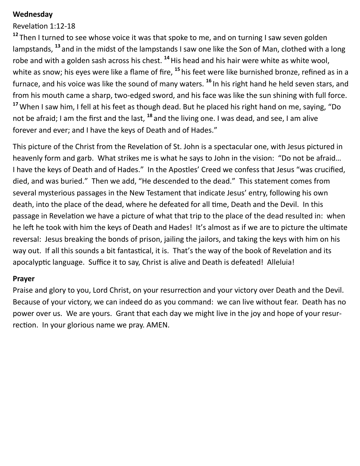#### **Wednesday**

Revelation 1:12-18

<sup>12</sup> Then I turned to see whose voice it was that spoke to me, and on turning I saw seven golden lampstands, **<sup>13</sup>** and in the midst of the lampstands I saw one like the Son of Man, clothed with a long robe and with a golden sash across his chest. **<sup>14</sup>**His head and his hair were white as white wool, white as snow; his eyes were like a flame of fire, **<sup>15</sup>** his feet were like burnished bronze, refined as in a furnace, and his voice was like the sound of many waters. **<sup>16</sup>** In his right hand he held seven stars, and from his mouth came a sharp, two-edged sword, and his face was like the sun shining with full force. **<sup>17</sup>**When I saw him, I fell at his feet as though dead. But he placed his right hand on me, saying, "Do not be afraid; I am the first and the last, **<sup>18</sup>** and the living one. I was dead, and see, I am alive forever and ever; and I have the keys of Death and of Hades."

This picture of the Christ from the Revelation of St. John is a spectacular one, with Jesus pictured in heavenly form and garb. What strikes me is what he says to John in the vision: "Do not be afraid… I have the keys of Death and of Hades." In the Apostles' Creed we confess that Jesus "was crucified, died, and was buried." Then we add, "He descended to the dead." This statement comes from several mysterious passages in the New Testament that indicate Jesus' entry, following his own death, into the place of the dead, where he defeated for all time, Death and the Devil. In this passage in Revelation we have a picture of what that trip to the place of the dead resulted in: when he left he took with him the keys of Death and Hades! It's almost as if we are to picture the ultimate reversal: Jesus breaking the bonds of prison, jailing the jailors, and taking the keys with him on his way out. If all this sounds a bit fantastical, it is. That's the way of the book of Revelation and its apocalyptic language. Suffice it to say, Christ is alive and Death is defeated! Alleluia!

#### **Prayer**

Praise and glory to you, Lord Christ, on your resurrection and your victory over Death and the Devil. Because of your victory, we can indeed do as you command: we can live without fear. Death has no power over us. We are yours. Grant that each day we might live in the joy and hope of your resurrection. In your glorious name we pray. AMEN.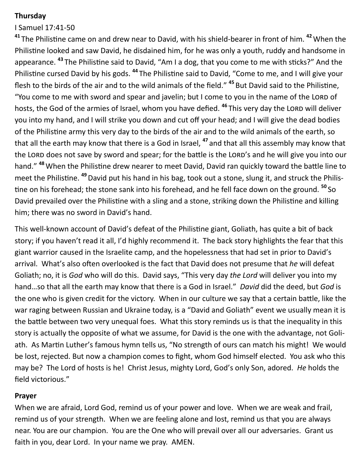## **Thursday**

# I Samuel 17:41-50

**<sup>41</sup>** The Philistine came on and drew near to David, with his shield-bearer in front of him. **<sup>42</sup>**When the Philistine looked and saw David, he disdained him, for he was only a youth, ruddy and handsome in appearance. **<sup>43</sup>** The Philistine said to David, "Am I a dog, that you come to me with sticks?" And the Philistine cursed David by his gods. **<sup>44</sup>** The Philistine said to David, "Come to me, and I will give your flesh to the birds of the air and to the wild animals of the field." **<sup>45</sup>** But David said to the Philistine, "You come to me with sword and spear and javelin; but I come to you in the name of the LORD of hosts, the God of the armies of Israel, whom you have defied. <sup>46</sup> This very day the LORD will deliver you into my hand, and I will strike you down and cut off your head; and I will give the dead bodies of the Philistine army this very day to the birds of the air and to the wild animals of the earth, so that all the earth may know that there is a God in Israel, **<sup>47</sup>** and that all this assembly may know that the LORD does not save by sword and spear; for the battle is the LORD's and he will give you into our hand." **<sup>48</sup>**When the Philistine drew nearer to meet David, David ran quickly toward the battle line to meet the Philistine. **<sup>49</sup>**David put his hand in his bag, took out a stone, slung it, and struck the Philistine on his forehead; the stone sank into his forehead, and he fell face down on the ground. **<sup>50</sup>** So David prevailed over the Philistine with a sling and a stone, striking down the Philistine and killing him; there was no sword in David's hand.

This well-known account of David's defeat of the Philistine giant, Goliath, has quite a bit of back story; if you haven't read it all, I'd highly recommend it. The back story highlights the fear that this giant warrior caused in the Israelite camp, and the hopelessness that had set in prior to David's arrival. What's also often overlooked is the fact that David does not presume that *he* will defeat Goliath; no, it is *God* who will do this. David says, "This very day *the Lord* will deliver you into my hand…so that all the earth may know that there is a God in Israel." *David* did the deed, but *God* is the one who is given credit for the victory. When in our culture we say that a certain battle, like the war raging between Russian and Ukraine today, is a "David and Goliath" event we usually mean it is the battle between two very unequal foes. What this story reminds us is that the inequality in this story is actually the opposite of what we assume, for David is the one with the advantage, not Goliath. As Martin Luther's famous hymn tells us, "No strength of ours can match his might! We would be lost, rejected. But now a champion comes to fight, whom God himself elected. You ask who this may be? The Lord of hosts is he! Christ Jesus, mighty Lord, God's only Son, adored. *He* holds the field victorious."

#### **Prayer**

When we are afraid, Lord God, remind us of your power and love. When we are weak and frail, remind us of your strength. When we are feeling alone and lost, remind us that you are always near. You are our champion. You are the One who will prevail over all our adversaries. Grant us faith in you, dear Lord. In your name we pray. AMEN.